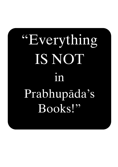# "Everything IS NOT in Prabhupäda's Books!"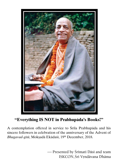

# **"Everything IS NOT in Prabhupäda's Books!"**

A contemplation offered in service to Śrīla Prabhupāda and his sincere followers in celebration of the anniversary of the Advent of *Bhagavad-gétä*, Mokñadä Ekädaçé, 19th December, 2018.

> Presented by Śrīmatī Dāsī and team ISKCON, Śrī Vrndāvana Dhāma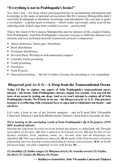## **"Everything is not in Prabhupäda's books!"**

Yes, that's true – for those whose preoccupation lies in accumulating information and knowledge in the name of spiritual advancement. But Śrī Caitanya Mahāprabhu didn't send Śrīla Prabhupāda to distribute knowledge and information. He sent him to ignite a revolution – a global heart revolution – which could, and would, safely lead all the suffering souls of Kali-yuga from *çraddhä* to *prema* – and beyond!

This is the vision of Çré Caitanya Mahäprabhu and the mission of His *senäpati-bhakta*, Śrīla Prabhupāda. And Śrīla Prabhupāda's visionary strategy to fulfil that mission is an intricate and very profound network of practical, proactive compassion:

- *Näma-saìkértana, Näma japa, Nämahaööa*
- \* Book distribution
- *Prasädam* distribution
- Devoted Deity Worship in well-maintained temples
- \* *Grhastha* Vision preaching
- Youth preaching
- *Gurukulas*
- Farm Projects
- Outreach preaching…..the list is endless, because the preaching is ever expanding!

# *Bhagavad-gétä As It Is* **– A Drop from the Transcendental Ocean**

Today I'd like to explore one aspect of Srila Prabhupāda's transcendental mercy **mission – his books. Çréla Prabhupäda's literary output was oceanic. You can tell the**  taste of an ocean by tasting one drop. And so we won't attempt to explore all of Srila **Prabhupäda's books. We'll hone in on one – his** *Bhagavad-gétä As It Is***. This priceless treasure is overflowing with** *cintämaëi* **keys to open and revolutionize our hearts – and our lives.**

Let's take a look at one of my favorite purports – and we'll need Srila Visvanätha Cakravartī Thākura's and Śrīla Bhaktivinoda Thākura's kind help to factually do that:

## *We're looking at the concluding words of Çréla Prabhupäda's Bg 8.28 purport (1972 BBT unedited edition):*

*Hearing the Gita from devotees not from mental speculators, is called faith.* (1) *Through association of devotees, (2) One is placed in devotional service, (3) and by this service Krsna's activities, form, pastimes, name, etc., become clear and all misgivings are dispelled.* (4) Then once doubts are removed, (5) the study of the Gita becomes extremely *pleasurable and one develops a taste and feeling for Krsna consciousness.* **(6-8 ->)** *In the advanced stage, one falls completely in love with Krsna (9) .....* 

**(1)**  $\hat{\text{S}}$ raddhā; (2)  $\hat{\text{S}}$ ādhu-saṅga; (3)  $\hat{\text{B}}$ hajana-kriyā; (4)  $\hat{\text{A}}$ nartha-nivrtti; (5)  $\hat{\text{N}}$ istha; **(6)** *Ruci***; (7)** *Äsakti***; (8)** *Bhäva***; (9)** *Prema*

⎯ *Mädhurya-kadambiné***, Çréla Viçvanätha Cakravarté Öhäkura**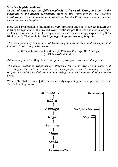#### **Çréla Prabhupäda continues:**

In the advanced stage, one falls completely in love with Krsna, and that is the *beginning of the highest perfectional stage of life which prepares the devotee's transferral to Krsna's abode in the spiritual sky, Goloka Vrndāvana, where the devotee enters into eternal happiness.*

Here Śrīla Prabhupāda is intimating a very profound and subtle subject matter: the journey from *prema* to fully evolved loving relationship with Krsna and eternal ongoing exchange of *rasa* with Him. This very intricate science is most simply explained by Srila Bhaktivinoda Thākura in his *Śrī Rūpānuga-bhajana-darpana*, Song 10:

*The development of ecstatic love of Godhead gradually thickens and intensifies as it manifests in seven stages known as:*

> $(1)$ Prema,  $(2)$  Sneha,  $(3)$  Māna,  $(4)$  Pranaya,  $(5)$  Rāga,  $(6)$  Anurāga, (7) Bhāva  $\rightarrow$ Mahābhāva

*All these stages of the* sthäyé-bhäva *are spotlessly free from any material impurities.*

*The above–mentioned symptoms are altogether known as love of Godhead. And*  according to the particular emotion one develops for Krsna, to that degree Krsna *reciprocates and this level of* rasa *continues being shared with Him for all of the time to come.* 

What Srila Bhaktivinoda Thākura is succinctly explaining here can probably be best clarified in diagram form:

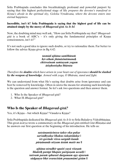Srila Prabhupāda concludes this breathtakingly profound and powerful purport by saying that this highest perfectional stage of life *prepares the devotee's transferal to Krsna's abode in the spiritual sky, Goloka Vrndāvana, where the devotee enters into eternal happiness.* 

#### Incredible, isn't it? Srila Prabhupāda is saying that the highest goal of life can be **attained simply by the mercy of** *Bhagavad-gétä As It Is***!**

Now, the doubting mind may well ask, "How can Srila Prabhupāda say that? *Bhagavadgitā* is a book of ABC's – it's only giving the fundamental principles of Krsna consciousness, isn't it?"

It's not such a good idea to ignore such doubts, or try to rationalize them. Far better to follow the advice Krsna gives in Bg 4.42:

> *tasmäd ajïäna-sambhütaà håt-sthaà jïänäsinätmanaù chittvainaà saàçayaà yogam*  $\bar{a}$ *tisthottistha bhārata*

*Therefore the doubts which have arisen in your heart out of ignorance should be slashed by the weapon of knowledge. Armed with yoga, O Bhärata, stand and fight.*

We can understand from what He's saying that doubts arise from ignorance and can best be removed by knowledge. Often in *çästra* the means for attaining such knowledge is the question and answer format. So let's ask two questions and then answer them.

- 1. Who Is the Speaker of *Bhagavad-gétä*?
- 2. What IS *Bhagavad-gétä?*

## **Who Is the Speaker of** *Bhagavad-gétä?*

Yes, it's Krsna – but which Krsna? Väsudeva Krsna?

Śrīla Prabhupāda dedicated his *Bhagavad-gītā As It Is* to Śrīla Baladeva Vidyābhūṣāna. This great *äcärya* wrote a commentary on the *Bhagavad-gétä* entitled *Gétä Bhüñäëa* and he answers our first question at the beginning of his introduction. He tells us:

> *satyänantäcintya-çakty-eka-pakñe sarvädhyakñe bhakta-rakñätidakñe | çré-govinde viçva-sargädi-kande pürëänande nityam ästäà matir me ||*

*ajïäna-néradhir upaiti yayä viçeñaà bhaktih parāpi bhajate pariposam uccaih* | *tattvaà paraà sphurati durgamam apy ajasraà sādgunya-bhrt svaracitām pranamāmi gītām ||*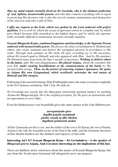*May my mind remain eternally fixed on Çré Govinda, who is the ultimate perfection of real, infinite, inconceivable powers, and who thus controls everything; who is expert in protecting His devotees; who is also the root of creation, maintenance and destruction of the universe; and who is full of bliss.*

*I offer my respects to the Gita, which was spoken by the Lord endowed with perfect qualities. It is a work by which the ocean of ignorance meets its complete end, by which pure bhakti becomes fully nourished to the highest degree, and by which, the supreme truth, normally difficult to understand, becomes eternally manifest.* 

**Svayam Bhagavān Krsna, condensed happiness and knowledge, is the Supreme Person** *endowed with inconceivable power. His feet are the object of meditation by Brahmä and others, who create, maintain and destroy the variegated universe in accordance to His order. Through such pastimes as His birth, He gave exceeding joy to His associates, whom He treated equal to Himself, and who appeared with Him. And by His pastimes He liberated many jévas from the tiger's mouth of ignorance. Wishing to deliver others in the future, after His own disappearance, He placed Arjuna, whom He considers His own Self, under seeming bewilderment at the commencement of the battle by His inconceivable energy. Then, on the pretext of removing Arjuna's ignorance, He spoke*  to Arjuna His own Gitopanisad, which excellently ascertains the real nature of *Himself and His energies.* 

Following in his sacred footsteps, Srila Prabhupāda states the same even more explicitly in his *Śrī Caitanya-caritāmrta*, Ādi 1.47p. He tells us:

*<u>Śrī Govindajī acts exactly like the siksā-guru <i>(instructing spiritual master) by teaching*</u> *Arjuna the* Bhagavad-gétä*. He is the original preceptor, for He gives us instructions and an opportunity to serve Him.* 

Even Śrī Śaṅkarācārya very beautifully gives the same answer in his *Gītā-Māhātmyam*:

*sarvopaniñado gävo dogdhä gopäla-nandanaù pärtho vatsaù su-dhér bhoktä dugdhaà gétämåtaà mahat*

All the Upanisads are like a cow, and the milker of the cow is Śrī Krsna, the son of Nanda. *Arjuna is the calf, the beautiful nectar of the Gita is the milk, and the fortunate devotees* of fine theistic intellect are the drinkers and enjoy*ers of that milk.* 

#### **Interesting, isn't it?! Svayam Bhagavān Krsna – Śrī Govindadeva – is the speaker of** *Bhagavad-gétä* **to Arjuna. And even more interesting are the implications of this fact.**

There are limitless *śāstric* references about the nature of Svayam Bhagavān Krsna, but one from the *Śvetāśvatara Upanisad* will adequately serve our purpose: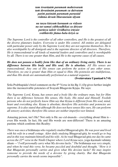*tam éçvaräëäà paramaà maheçvaraà taà devatänäà paramaà ca daivatam patià paténäà paramaà parastäd vidäma devaà bhuvaneçam éòyam*

*na tasya käryaà karaëaà ca vidyate na tat-samaç cäbhyadhikaç ca dåçyate paräsya çaktir vividhaiva çrüyate sväbhäviké jïäna-bala-kriyä ca*

*The Supreme Lord is the controller of all other controllers, and He is the greatest of all the diverse planetary leaders. Everyone is under His control. All entities are delegated with particular power only by the Supreme Lord; they are not supreme themselves. He is also worshipable by all demigods and is the supreme director of all directors. Therefore, He is transcendental to all kinds of material leaders and controllers and is worshipable by all. There is no one greater than Him, and He is the supreme cause of all causes.*

*He does not possess a bodily form like that of an ordinary living entity. There is no difference between His body and His soul. He is absolute. All His senses are transcendental. Any one of His senses can perform the action of any other sense. Therefore, no one is greater than Him or equal to Him. His potencies are multifarious, and thus His deeds are automatically performed as a natural sequence.*

**(Śvetāśvatara Upanisad 6.7-8)** 

Śrīla Prabhupāda's brief comment on the  $8<sup>th</sup>$  Verse in his Bg 11.43p gives further insight into the inconceivable potencies of Svayam Bhagavān Krsna. He says:

The Supreme Lord, Krsna, has senses and a body like the ordinary man, but for Him *there is no difference between His senses, His body, His mind and Himself. Foolish persons who do not perfectly know Him say that Krsna is different from His soul, mind, heart and everything else. Krsna is absolute; therefore His activities and potencies are supreme. It is also stated that although He does not have senses like ours, He can perform all sensory activities; therefore His senses are neither imperfect nor limited.*

Amazing person, isn't He? Not only is He *sac-cid-änanda* – everything about Him is – even His words. In fact, He and His words are non-different! There is an amazing pastime which confirms this Reality:

*There was once a brāhmana who regularly studied Bhagavad-gītā. He was poor and lived with his wife in a small cottage. After daily studying* Bhagavad-gétä*, he would go to beg and in this way maintain himself and his wife. As he read* Bhagavad-gétä *one day he came across the 22<sup>nd</sup> verse in the Ninth Chapter where Lord Krsna says, yoga-ksemam vahāmy* aham —"I will personally carry what My devotee lacks." The brāhmaņa was very simple, *and when he read this verse, he became puzzled and doubtful and thought, "How is it that Bhagavän personally carries and gives what His devotee lacks? He may inspire someone to provide the needs of a devotee by giving charity. But that Bhagavän personally carries the needs seems impossible".*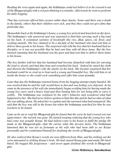*Reading the verse again and again, the brahmana could not believe it so he crossed it out of the* Bhagavad-gétä *with a red pen thinking it a mistake. Afterwards he went to perform his daily begging.*

*That day everyone offered him excuses rather than charity. Some said there was a death in the family, others that their children were sick, and thus they could not give alms that particular day.*

*Meanwhile back at the brähmana's house, a young boy arrived and knocked on the door. The* brāhmana's *wife answered and was surprised to find him carrying such a big load on his back. It contained varieties of foodstuffs like rice, dhal, spices, oil, flour, and cooking utensils. The boy claimed to be a disciple of her husband who had sent him to deliver these goods to his house. The surprised wife told the boy that her husband had no disciples, so it was not possible that he had sent him with all these items. But the boy insisted repeating that her husband was his guru and had sent him to deliver these items to his house.* 

*The boy further told her that her husband had become disturbed with him for carrying the load so slowly and had thus beat and scratched his back. Indeed he raised his cloth and showed the brahmana's wife the marks on his back. She became surprised that her husband could be so cruel as to beat such a young and beautiful boy. She told him to sit inside the house so she could cook something and offer him some* prasäda*.* 

Later that day the brähmana *returned home from his begging attempt empty handed. He was resolved that he and his wife would have to fast and was feeling very dejected. As he came in the presence of his wife she immediately began scolding him for having made the young boy carry such a heavy load and then beating him for not being able to carry it swiftly. The brahmana was confused by his wife's behavior and wondered what had happened to her. She had never before spoken to him like this and he had no idea of what she was talking about. He asked her to explain and she narrated what had transpired. She said that the boy was still in the house but when the brähmana searched for him he was nowhere to be found.* 

Later as he sat to read his Bhagavad-gita *he found that the verse he had crossed out was again intact—the red ink was gone. He started weeping realizing that the young boy who had come was actually Krsna. He had indeed come to his house to fulfil the pledge He made in the Bhagavad-gitā—that He carries what His devotee lacks. The brāhmana lamented that he was not as fortunate as his wife who had been able to see Krsna personally and he condemned himself for doubting the words of* Bhagavad-gétä*.*

*He also realized that Krsna's words are non-different from Him, and his striking out the verse amounted to striking Krsna's body. He had caused Krsna pain and made His back bleed. He begged His forgiveness – and never again doubted His words in* Bhagavadgétä*.*

#### **(***Gétä-Mähätmya,* **Introduction)**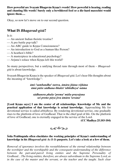**How powerful are Svayam Bhagavān Krsna's words! How powerful is hearing, reading and chanting His words! Surely only a bewildered fool or a die-hard masochist would ignore them….**

Okay, so now let's move on to our second question.

## **What IS** *Bhagavad-gétä***?**

Is it:

- An ancient Indian theistic treatise?
- $-A$  pre-battle pep-talk?
- An ABC guide to Krsna Consciousness?
- An introduction to God as a human-like Person?
- $\sim$  A heathen's bible?
- A masterpiece in educational psychology?
- Arjuna's solace when Krsna left this world?

So many perspectives, but a unifying thread runs through most of them – *Bhagavadgétä* is about knowledge.

Svayam Bhagavān Krsna is the speaker of *Bhagavad-gītā*. Let's hear His thoughts about the meaning of "knowledge":

#### *ämi-'sambandha'-tattva, ämära jïäna-vijïäna ämä päite sädhana-bhakti 'abhidheya'-näma*

*sädhanera phala-'prema' müla-prayojana sei preme päya jéva ämära 'sevana'*

[Lord Krsna says:] I am the center of all relationships. Knowledge of Me and the **practical application of that knowledge is actual knowledge.** Approaching Me for devotional service is called *abhidheya*. By rendering devotional service, one gradually rises to the platform of love of Godhead. That is the chief goal of life. On the platform of love of Godhead, one is eternally engaged in the service of the Lord.

**(CC Madhya 25.103-104)**

$$
\circledcirc \circledast
$$

### **Srila Prabhupäda often elucidates the working principles of Krsna's understanding of knowledge in his** *Bhagavad-gétä As It Is* **purports. Let's take a look at a few of them.**

*Removal of ignorance involves the reestablishment of the eternal relationship between the worshiper and the worshipable and the consequent understanding of the difference between the part-and-parcel living entities and the Supreme Personality of Godhead…The living entities, therefore, are always subordinate to the Supreme Lord, as in the case of the master and the servant, or the teacher and the taught. Such clear*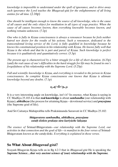*knowledge is impossible to understand under the spell of ignorance, and to drive away such ignorance the Lord teaches the Bhagavad-gétä for the enlightenment of all living entities for all time.* (2.16p)

*One should be intelligent enough to know the source of all knowledge, who is the cause of all causes and the only object for meditation in all types of yoga practice. When the cause of all causes becomes known, then everything knowable becomes known, and nothing remains unknown.* (7.2p)

*One who is fully in Krsna consciousness is always a renouncer because he feels neither hatred nor desire for the results of his actions. Such a renouncer, dedicated to the transcendental loving service of the Lord, is fully qualified in knowledge because he knows his constitutional position in his relationship with Krsna. He knows fully well that Krsna is the whole and that he is part and parcel of Krsna. Such knowledge is perfect because it is qualitatively and quantitatively correct.* (5.3p)

*The present age is characterized by a bitter struggle for a life of short duration.* (6.33p) (and) *the real cause of one's difficulties in the hard struggle for life may be found in one's forgetfulness of his relationship with the Supreme Lord*. (5.25p)

*Full and scientific knowledge is Kr§na, and everything is revealed to the person in Krsna consciousness. In complete Krsna consciousness one knows that Krsna is ultimate knowledge beyond any doubts.* (7.1p)

 $85222$ 

It is a very interesting angle on knowledge, isn't it? In essence, what Krsna is saying in CC Madhya 25.103-4 is that **real knowledge** is about *sambandha* (our relationship with Krsna), *abhidheya* (the process for attaining Krsna – devotional service) and *prayojana* (the Supreme goal of life).

And Śrī Caitanya Mahāprabhu tells Prakāśānanda Sarasvatī in CC Madhya 25.102:

*bhägavatera sambandha, abhidheya, prayojana catuù-çlokéte prakaöa tära kariyäche lakñaëa*

*The essence of Srimad-Bhāgavatam—our relationship with the Supreme Lord, our activities in that connection and the goal of life—is manifest in the four verses of* Srimad-Bhāgavatam *known as the catuh-sloki. Everything is explained in those verses.* 

# **So What About** *Bhagavad-gétä***?**

Svayam Bhagavān Krsna tells us in Bg 4.2-3 that in *Bhagavad-gītā* He is speaking the *Supreme Science…that very ancient science of (our) relationship with the Supreme.*